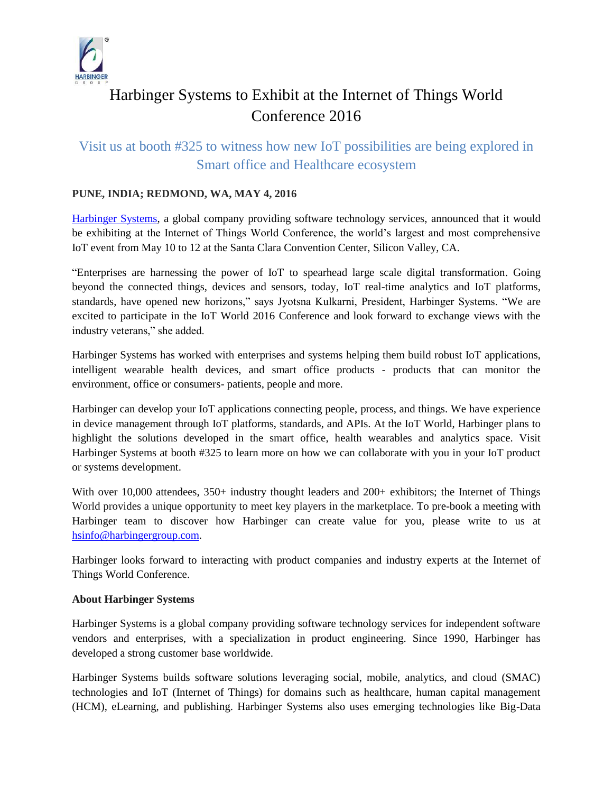

# Harbinger Systems to Exhibit at the Internet of Things World Conference 2016

# Visit us at booth #325 to witness how new IoT possibilities are being explored in Smart office and Healthcare ecosystem

## **PUNE, INDIA; REDMOND, WA, MAY 4, 2016**

[Harbinger Systems,](http://harbinger-systems.com/) a global company providing software technology services, announced that it would be exhibiting at the Internet of Things World Conference, the world's largest and most comprehensive IoT event from May 10 to 12 at the Santa Clara Convention Center, Silicon Valley, CA.

"Enterprises are harnessing the power of IoT to spearhead large scale digital transformation. Going beyond the connected things, devices and sensors, today, IoT real-time analytics and IoT platforms, standards, have opened new horizons," says Jyotsna Kulkarni, President, Harbinger Systems. "We are excited to participate in the IoT World 2016 Conference and look forward to exchange views with the industry veterans," she added.

Harbinger Systems has worked with enterprises and systems helping them build robust IoT applications, intelligent wearable health devices, and smart office products - products that can monitor the environment, office or consumers- patients, people and more.

Harbinger can develop your IoT applications connecting people, process, and things. We have experience in device management through IoT platforms, standards, and APIs. At the IoT World, Harbinger plans to highlight the solutions developed in the smart office, health wearables and analytics space. Visit Harbinger Systems at booth #325 to learn more on how we can collaborate with you in your IoT product or systems development.

With over 10,000 attendees, 350+ industry thought leaders and 200+ exhibitors; the Internet of Things World provides a unique opportunity to meet key players in the marketplace. To pre-book a meeting with Harbinger team to discover how Harbinger can create value for you, please write to us at [hsinfo@harbingergroup.com.](mailto:hsinfo@harbingergroup.com)

Harbinger looks forward to interacting with product companies and industry experts at the Internet of Things World Conference.

#### **About Harbinger Systems**

Harbinger Systems is a global company providing software technology services for independent software vendors and enterprises, with a specialization in product engineering. Since 1990, Harbinger has developed a strong customer base worldwide.

Harbinger Systems builds software solutions leveraging social, mobile, analytics, and cloud (SMAC) technologies and IoT (Internet of Things) for domains such as healthcare, human capital management (HCM), eLearning, and publishing. Harbinger Systems also uses emerging technologies like Big-Data